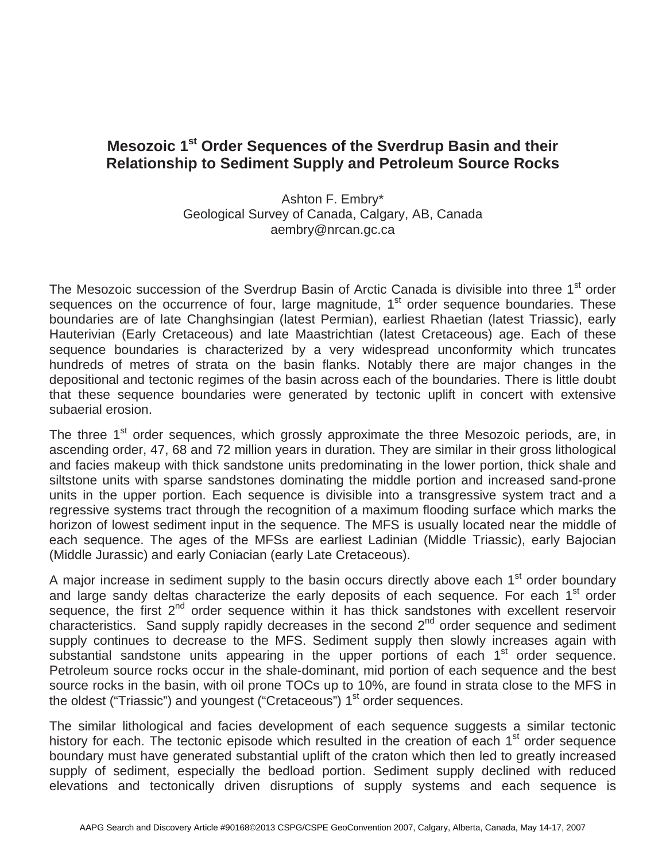## **Mesozoic 1st Order Sequences of the Sverdrup Basin and their Relationship to Sediment Supply and Petroleum Source Rocks**

Ashton F. Embry\* Geological Survey of Canada, Calgary, AB, Canada aembry@nrcan.gc.ca

The Mesozoic succession of the Sverdrup Basin of Arctic Canada is divisible into three 1<sup>st</sup> order sequences on the occurrence of four, large magnitude,  $1<sup>st</sup>$  order sequence boundaries. These boundaries are of late Changhsingian (latest Permian), earliest Rhaetian (latest Triassic), early Hauterivian (Early Cretaceous) and late Maastrichtian (latest Cretaceous) age. Each of these sequence boundaries is characterized by a very widespread unconformity which truncates hundreds of metres of strata on the basin flanks. Notably there are major changes in the depositional and tectonic regimes of the basin across each of the boundaries. There is little doubt that these sequence boundaries were generated by tectonic uplift in concert with extensive subaerial erosion.

The three 1<sup>st</sup> order sequences, which grossly approximate the three Mesozoic periods, are, in ascending order, 47, 68 and 72 million years in duration. They are similar in their gross lithological and facies makeup with thick sandstone units predominating in the lower portion, thick shale and siltstone units with sparse sandstones dominating the middle portion and increased sand-prone units in the upper portion. Each sequence is divisible into a transgressive system tract and a regressive systems tract through the recognition of a maximum flooding surface which marks the horizon of lowest sediment input in the sequence. The MFS is usually located near the middle of each sequence. The ages of the MFSs are earliest Ladinian (Middle Triassic), early Bajocian (Middle Jurassic) and early Coniacian (early Late Cretaceous).

A major increase in sediment supply to the basin occurs directly above each  $1<sup>st</sup>$  order boundary and large sandy deltas characterize the early deposits of each sequence. For each 1<sup>st</sup> order sequence, the first  $2^{nd}$  order sequence within it has thick sandstones with excellent reservoir characteristics. Sand supply rapidly decreases in the second 2<sup>nd</sup> order sequence and sediment supply continues to decrease to the MFS. Sediment supply then slowly increases again with substantial sandstone units appearing in the upper portions of each  $1<sup>st</sup>$  order sequence. Petroleum source rocks occur in the shale-dominant, mid portion of each sequence and the best source rocks in the basin, with oil prone TOCs up to 10%, are found in strata close to the MFS in the oldest ("Triassic") and youngest ("Cretaceous")  $1<sup>st</sup>$  order sequences.

The similar lithological and facies development of each sequence suggests a similar tectonic history for each. The tectonic episode which resulted in the creation of each  $1<sup>st</sup>$  order sequence boundary must have generated substantial uplift of the craton which then led to greatly increased supply of sediment, especially the bedload portion. Sediment supply declined with reduced elevations and tectonically driven disruptions of supply systems and each sequence is